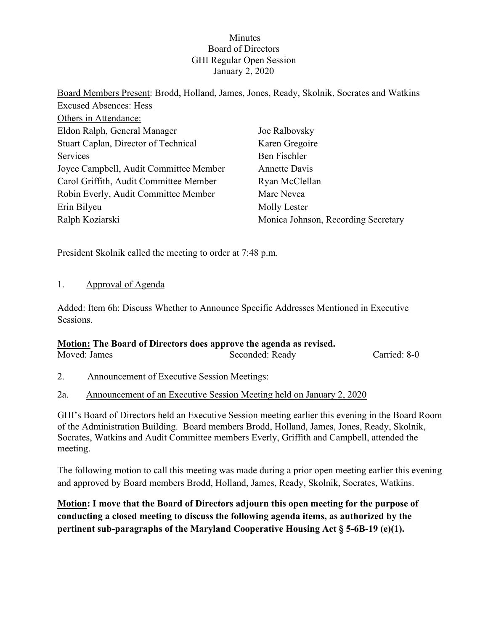#### **Minutes** Board of Directors GHI Regular Open Session January 2, 2020

| Board Members Present: Brodd, Holland, James, Jones, Ready, Skolnik, Socrates and Watkins |                                     |
|-------------------------------------------------------------------------------------------|-------------------------------------|
| <b>Excused Absences: Hess</b>                                                             |                                     |
| Others in Attendance:                                                                     |                                     |
| Eldon Ralph, General Manager                                                              | Joe Ralbovsky                       |
| Stuart Caplan, Director of Technical                                                      | Karen Gregoire                      |
| Services                                                                                  | Ben Fischler                        |
| Joyce Campbell, Audit Committee Member                                                    | Annette Davis                       |
| Carol Griffith, Audit Committee Member                                                    | Ryan McClellan                      |
| Robin Everly, Audit Committee Member                                                      | Marc Nevea                          |
| Erin Bilyeu                                                                               | Molly Lester                        |
| Ralph Koziarski                                                                           | Monica Johnson, Recording Secretary |

President Skolnik called the meeting to order at 7:48 p.m.

#### 1. Approval of Agenda

Added: Item 6h: Discuss Whether to Announce Specific Addresses Mentioned in Executive Sessions.

## **Motion: The Board of Directors does approve the agenda as revised.**

| Moved: James |                                                    | Seconded: Ready | Carried: 8-0 |
|--------------|----------------------------------------------------|-----------------|--------------|
|              | <b>Announcement of Executive Session Meetings:</b> |                 |              |

2a. Announcement of an Executive Session Meeting held on January 2, 2020

GHI's Board of Directors held an Executive Session meeting earlier this evening in the Board Room of the Administration Building. Board members Brodd, Holland, James, Jones, Ready, Skolnik, Socrates, Watkins and Audit Committee members Everly, Griffith and Campbell, attended the meeting.

The following motion to call this meeting was made during a prior open meeting earlier this evening and approved by Board members Brodd, Holland, James, Ready, Skolnik, Socrates, Watkins.

**Motion: I move that the Board of Directors adjourn this open meeting for the purpose of conducting a closed meeting to discuss the following agenda items, as authorized by the pertinent sub-paragraphs of the Maryland Cooperative Housing Act § 5-6B-19 (e)(1).**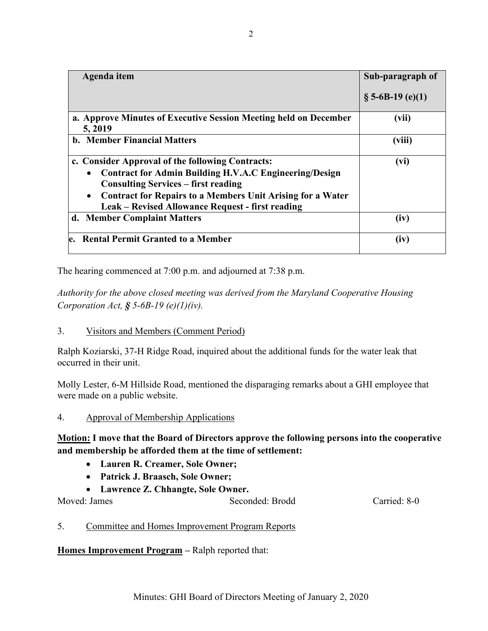| Agenda item                                                                                                                                                                                                                                                                                                        | Sub-paragraph of    |
|--------------------------------------------------------------------------------------------------------------------------------------------------------------------------------------------------------------------------------------------------------------------------------------------------------------------|---------------------|
|                                                                                                                                                                                                                                                                                                                    | $\S$ 5-6B-19 (e)(1) |
| a. Approve Minutes of Executive Session Meeting held on December<br>5, 2019                                                                                                                                                                                                                                        | (vii)               |
| <b>b. Member Financial Matters</b>                                                                                                                                                                                                                                                                                 | (viii)              |
| c. Consider Approval of the following Contracts:<br><b>Contract for Admin Building H.V.A.C Engineering/Design</b><br>$\bullet$<br><b>Consulting Services – first reading</b><br><b>Contract for Repairs to a Members Unit Arising for a Water</b><br>$\bullet$<br>Leak – Revised Allowance Request - first reading | (vi)                |
| d. Member Complaint Matters                                                                                                                                                                                                                                                                                        | (iv)                |
| e. Rental Permit Granted to a Member                                                                                                                                                                                                                                                                               | (iv)                |

The hearing commenced at 7:00 p.m. and adjourned at 7:38 p.m.

*Authority for the above closed meeting was derived from the Maryland Cooperative Housing Corporation Act, § 5-6B-19 (e)(1)(iv).* 

3. Visitors and Members (Comment Period)

Ralph Koziarski, 37-H Ridge Road, inquired about the additional funds for the water leak that occurred in their unit.

Molly Lester, 6-M Hillside Road, mentioned the disparaging remarks about a GHI employee that were made on a public website.

4. Approval of Membership Applications

**Motion: I move that the Board of Directors approve the following persons into the cooperative and membership be afforded them at the time of settlement:**

- **Lauren R. Creamer, Sole Owner;**
- **Patrick J. Braasch, Sole Owner;**
- **Lawrence Z. Chhangte, Sole Owner.**

Moved: James Seconded: Brodd Carried: 8-0

5. Committee and Homes Improvement Program Reports

**Homes Improvement Program –** Ralph reported that: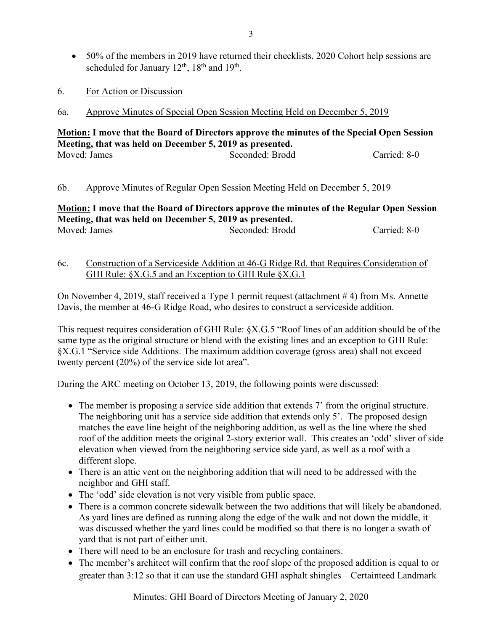- 50% of the members in 2019 have returned their checklists. 2020 Cohort help sessions are scheduled for January 12<sup>th</sup>, 18<sup>th</sup> and 19<sup>th</sup>.
- 6. For Action or Discussion
- 6a. Approve Minutes of Special Open Session Meeting Held on December 5, 2019

#### **Motion: I move that the Board of Directors approve the minutes of the Special Open Session Meeting, that was held on December 5, 2019 as presented.** Moved: James Seconded: Brodd Carried: 8-0

#### 6b. Approve Minutes of Regular Open Session Meeting Held on December 5, 2019

**Motion: I move that the Board of Directors approve the minutes of the Regular Open Session Meeting, that was held on December 5, 2019 as presented.** Moved: James Seconded: Brodd Carried: 8-0

#### 6c. Construction of a Serviceside Addition at 46-G Ridge Rd. that Requires Consideration of GHI Rule: §X.G.5 and an Exception to GHI Rule §X.G.1

On November 4, 2019, staff received a Type 1 permit request (attachment # 4) from Ms. Annette Davis, the member at 46-G Ridge Road, who desires to construct a serviceside addition.

This request requires consideration of GHI Rule: §X.G.5 "Roof lines of an addition should be of the same type as the original structure or blend with the existing lines and an exception to GHI Rule: §X.G.1 "Service side Additions. The maximum addition coverage (gross area) shall not exceed twenty percent (20%) of the service side lot area".

During the ARC meeting on October 13, 2019, the following points were discussed:

- The member is proposing a service side addition that extends 7' from the original structure. The neighboring unit has a service side addition that extends only 5'. The proposed design matches the eave line height of the neighboring addition, as well as the line where the shed roof of the addition meets the original 2-story exterior wall. This creates an 'odd' sliver of side elevation when viewed from the neighboring service side yard, as well as a roof with a different slope.
- There is an attic vent on the neighboring addition that will need to be addressed with the neighbor and GHI staff.
- The 'odd' side elevation is not very visible from public space.
- There is a common concrete sidewalk between the two additions that will likely be abandoned. As yard lines are defined as running along the edge of the walk and not down the middle, it was discussed whether the yard lines could be modified so that there is no longer a swath of yard that is not part of either unit.
- There will need to be an enclosure for trash and recycling containers.
- The member's architect will confirm that the roof slope of the proposed addition is equal to or greater than 3:12 so that it can use the standard GHI asphalt shingles – Certainteed Landmark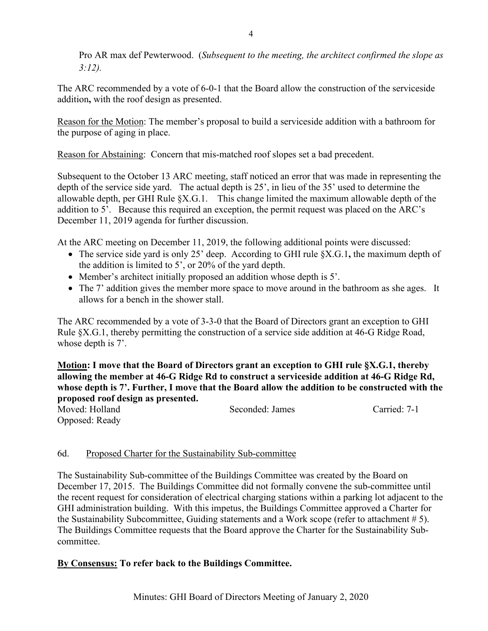Pro AR max def Pewterwood. (*Subsequent to the meeting, the architect confirmed the slope as 3:12).*

The ARC recommended by a vote of 6-0-1 that the Board allow the construction of the serviceside addition**,** with the roof design as presented.

Reason for the Motion: The member's proposal to build a serviceside addition with a bathroom for the purpose of aging in place.

Reason for Abstaining: Concern that mis-matched roof slopes set a bad precedent.

Subsequent to the October 13 ARC meeting, staff noticed an error that was made in representing the depth of the service side yard. The actual depth is 25', in lieu of the 35' used to determine the allowable depth, per GHI Rule §X.G.1.This change limited the maximum allowable depth of the addition to 5'. Because this required an exception, the permit request was placed on the ARC's December 11, 2019 agenda for further discussion.

At the ARC meeting on December 11, 2019, the following additional points were discussed:

- The service side yard is only 25' deep. According to GHI rule §X.G.1**,** the maximum depth of the addition is limited to 5', or 20% of the yard depth.
- Member's architect initially proposed an addition whose depth is 5'.
- The 7' addition gives the member more space to move around in the bathroom as she ages. It allows for a bench in the shower stall.

The ARC recommended by a vote of 3-3-0 that the Board of Directors grant an exception to GHI Rule §X.G.1, thereby permitting the construction of a service side addition at 46-G Ridge Road, whose depth is 7'.

**Motion: I move that the Board of Directors grant an exception to GHI rule §X.G.1, thereby allowing the member at 46-G Ridge Rd to construct a serviceside addition at 46-G Ridge Rd, whose depth is 7'. Further, I move that the Board allow the addition to be constructed with the proposed roof design as presented.**

| Moved: Holland |  | Seconded: James | Carried: 7-1 |
|----------------|--|-----------------|--------------|
| Opposed: Ready |  |                 |              |

# 6d. Proposed Charter for the Sustainability Sub-committee

The Sustainability Sub-committee of the Buildings Committee was created by the Board on December 17, 2015. The Buildings Committee did not formally convene the sub-committee until the recent request for consideration of electrical charging stations within a parking lot adjacent to the GHI administration building. With this impetus, the Buildings Committee approved a Charter for the Sustainability Subcommittee, Guiding statements and a Work scope (refer to attachment # 5). The Buildings Committee requests that the Board approve the Charter for the Sustainability Subcommittee.

# **By Consensus: To refer back to the Buildings Committee.**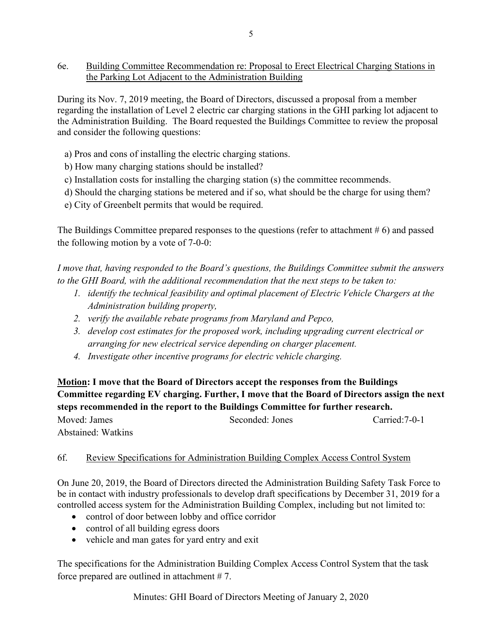6e. Building Committee Recommendation re: Proposal to Erect Electrical Charging Stations in the Parking Lot Adjacent to the Administration Building

During its Nov. 7, 2019 meeting, the Board of Directors, discussed a proposal from a member regarding the installation of Level 2 electric car charging stations in the GHI parking lot adjacent to the Administration Building. The Board requested the Buildings Committee to review the proposal and consider the following questions:

- a) Pros and cons of installing the electric charging stations.
- b) How many charging stations should be installed?
- c) Installation costs for installing the charging station (s) the committee recommends.
- d) Should the charging stations be metered and if so, what should be the charge for using them?
- e) City of Greenbelt permits that would be required.

The Buildings Committee prepared responses to the questions (refer to attachment # 6) and passed the following motion by a vote of 7-0-0:

*I move that, having responded to the Board's questions, the Buildings Committee submit the answers to the GHI Board, with the additional recommendation that the next steps to be taken to:*

- *1. identify the technical feasibility and optimal placement of Electric Vehicle Chargers at the Administration building property,*
- *2. verify the available rebate programs from Maryland and Pepco,*
- *3. develop cost estimates for the proposed work, including upgrading current electrical or arranging for new electrical service depending on charger placement.*
- *4. Investigate other incentive programs for electric vehicle charging.*

**Motion: I move that the Board of Directors accept the responses from the Buildings Committee regarding EV charging. Further, I move that the Board of Directors assign the next steps recommended in the report to the Buildings Committee for further research.** Moved: James Seconded: Jones Carried:7-0-1 Abstained: Watkins

## 6f. Review Specifications for Administration Building Complex Access Control System

On June 20, 2019, the Board of Directors directed the Administration Building Safety Task Force to be in contact with industry professionals to develop draft specifications by December 31, 2019 for a controlled access system for the Administration Building Complex, including but not limited to:

- control of door between lobby and office corridor
- control of all building egress doors
- vehicle and man gates for yard entry and exit

The specifications for the Administration Building Complex Access Control System that the task force prepared are outlined in attachment # 7.

Minutes: GHI Board of Directors Meeting of January 2, 2020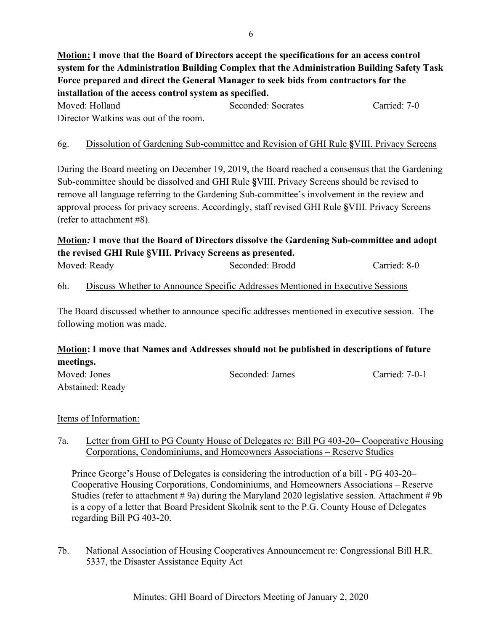**Motion: I move that the Board of Directors accept the specifications for an access control system for the Administration Building Complex that the Administration Building Safety Task Force prepared and direct the General Manager to seek bids from contractors for the installation of the access control system as specified.**

Moved: Holland Seconded: Socrates Carried: 7-0 Director Watkins was out of the room.

## 6g. Dissolution of Gardening Sub-committee and Revision of GHI Rule **§**VIII. Privacy Screens

During the Board meeting on December 19, 2019, the Board reached a consensus that the Gardening Sub-committee should be dissolved and GHI Rule **§**VIII. Privacy Screens should be revised to remove all language referring to the Gardening Sub-committee's involvement in the review and approval process for privacy screens. Accordingly, staff revised GHI Rule **§**VIII. Privacy Screens (refer to attachment #8).

# **Motion***:* **I move that the Board of Directors dissolve the Gardening Sub-committee and adopt the revised GHI Rule §VIII. Privacy Screens as presented.**

| Moved: Ready | Seconded: Brodd | Carried: 8-0 |
|--------------|-----------------|--------------|
|              |                 |              |

## 6h. Discuss Whether to Announce Specific Addresses Mentioned in Executive Sessions

The Board discussed whether to announce specific addresses mentioned in executive session. The following motion was made.

# **Motion: I move that Names and Addresses should not be published in descriptions of future meetings.**

| Moved: Jones     | Seconded: James | Carried: 7-0-1 |
|------------------|-----------------|----------------|
| Abstained: Ready |                 |                |

## Items of Information:

#### 7a. Letter from GHI to PG County House of Delegates re: Bill PG 403-20– Cooperative Housing Corporations, Condominiums, and Homeowners Associations – Reserve Studies

Prince George's House of Delegates is considering the introduction of a bill - PG 403-20– Cooperative Housing Corporations, Condominiums, and Homeowners Associations – Reserve Studies (refer to attachment  $\# 9a$ ) during the Maryland 2020 legislative session. Attachment  $\# 9b$ is a copy of a letter that Board President Skolnik sent to the P.G. County House of Delegates regarding Bill PG 403-20.

7b. National Association of Housing Cooperatives Announcement re: Congressional Bill H.R. 5337, the Disaster Assistance Equity Act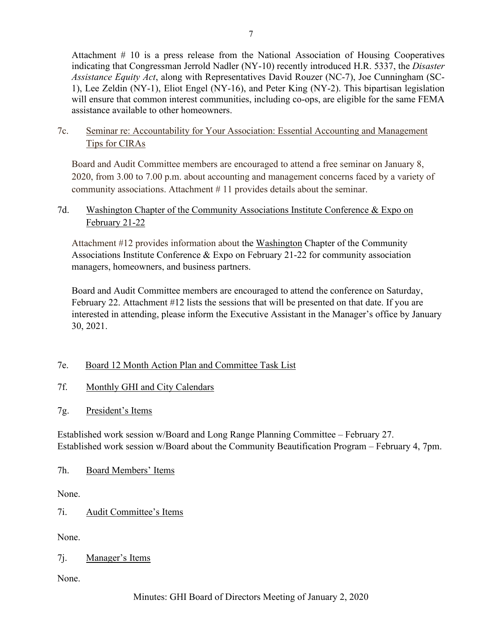Attachment # 10 is a press release from the National Association of Housing Cooperatives indicating that Congressman Jerrold Nadler (NY-10) recently introduced H.R. 5337, the *Disaster Assistance Equity Act*, along with Representatives David Rouzer (NC-7), Joe Cunningham (SC-1), Lee Zeldin (NY-1), Eliot Engel (NY-16), and Peter King (NY-2). This bipartisan legislation will ensure that common interest communities, including co-ops, are eligible for the same FEMA assistance available to other homeowners.

# 7c. Seminar re: Accountability for Your Association: Essential Accounting and Management Tips for CIRAs

Board and Audit Committee members are encouraged to attend a free seminar on January 8, 2020, from 3.00 to 7.00 p.m. about accounting and management concerns faced by a variety of community associations. Attachment # 11 provides details about the seminar.

# 7d. [Washington](http://r20.rs6.net/tn.jsp?f=001XJy52tSY47lAD6q2-gHc8oYvSDpSpLdwPG4fiwFs99XLyUwU35LCyOn84T3VQkhMn6Vls5XId59ngg0NzkNScEaKHHWQ_GWY93IPawD6cbiRm1Ir0oZ7iQ6wL0vQfT07JzNyRtwXwFVipN10AXVQl1w_gllxqG9iFmgpwfGCd3U=&c=kEbCoOAL5tbvmNtHSum4Lw5MMQat0jU5e3WrpaLy6cLy1z-Rbvd_AA==&ch=tkD44VORazzkoyg4KnypfT_yO168fVjbf-0ygpCjxn72cG8gLSBZnw==) Chapter of the Community Associations Institute Conference & Expo on February 21-22

Attachment #12 provides information about the [Washington](http://r20.rs6.net/tn.jsp?f=001XJy52tSY47lAD6q2-gHc8oYvSDpSpLdwPG4fiwFs99XLyUwU35LCyOn84T3VQkhMn6Vls5XId59ngg0NzkNScEaKHHWQ_GWY93IPawD6cbiRm1Ir0oZ7iQ6wL0vQfT07JzNyRtwXwFVipN10AXVQl1w_gllxqG9iFmgpwfGCd3U=&c=kEbCoOAL5tbvmNtHSum4Lw5MMQat0jU5e3WrpaLy6cLy1z-Rbvd_AA==&ch=tkD44VORazzkoyg4KnypfT_yO168fVjbf-0ygpCjxn72cG8gLSBZnw==) Chapter of the Community Associations Institute Conference & Expo on February 21-22 for community association managers, homeowners, and business partners.

Board and Audit Committee members are encouraged to attend the conference on Saturday, February 22. Attachment #12 lists the sessions that will be presented on that date. If you are interested in attending, please inform the Executive Assistant in the Manager's office by January 30, 2021.

# 7e. Board 12 Month Action Plan and Committee Task List

# 7f. Monthly GHI and City Calendars

7g. President's Items

Established work session w/Board and Long Range Planning Committee – February 27. Established work session w/Board about the Community Beautification Program – February 4, 7pm.

## 7h. Board Members' Items

None.

7i. Audit Committee's Items

None.

# 7j. Manager's Items

None.